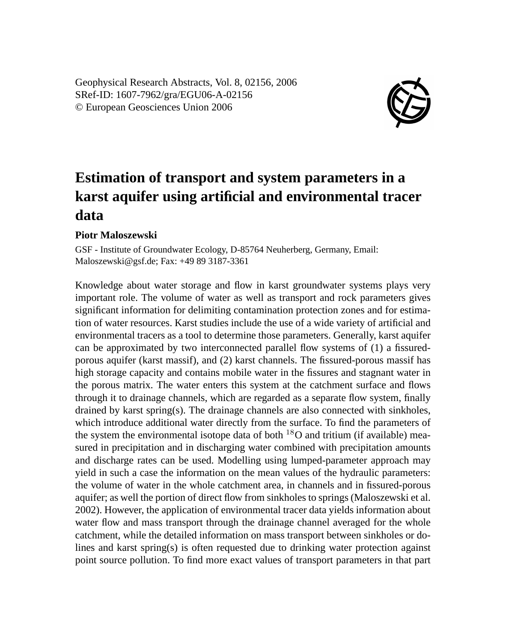Geophysical Research Abstracts, Vol. 8, 02156, 2006 SRef-ID: 1607-7962/gra/EGU06-A-02156 © European Geosciences Union 2006



## **Estimation of transport and system parameters in a karst aquifer using artificial and environmental tracer data**

## **Piotr Maloszewski**

GSF - Institute of Groundwater Ecology, D-85764 Neuherberg, Germany, Email: Maloszewski@gsf.de; Fax: +49 89 3187-3361

Knowledge about water storage and flow in karst groundwater systems plays very important role. The volume of water as well as transport and rock parameters gives significant information for delimiting contamination protection zones and for estimation of water resources. Karst studies include the use of a wide variety of artificial and environmental tracers as a tool to determine those parameters. Generally, karst aquifer can be approximated by two interconnected parallel flow systems of (1) a fissuredporous aquifer (karst massif), and (2) karst channels. The fissured-porous massif has high storage capacity and contains mobile water in the fissures and stagnant water in the porous matrix. The water enters this system at the catchment surface and flows through it to drainage channels, which are regarded as a separate flow system, finally drained by karst spring(s). The drainage channels are also connected with sinkholes, which introduce additional water directly from the surface. To find the parameters of the system the environmental isotope data of both  $^{18}$ O and tritium (if available) measured in precipitation and in discharging water combined with precipitation amounts and discharge rates can be used. Modelling using lumped-parameter approach may yield in such a case the information on the mean values of the hydraulic parameters: the volume of water in the whole catchment area, in channels and in fissured-porous aquifer; as well the portion of direct flow from sinkholes to springs (Maloszewski et al. 2002). However, the application of environmental tracer data yields information about water flow and mass transport through the drainage channel averaged for the whole catchment, while the detailed information on mass transport between sinkholes or dolines and karst spring(s) is often requested due to drinking water protection against point source pollution. To find more exact values of transport parameters in that part